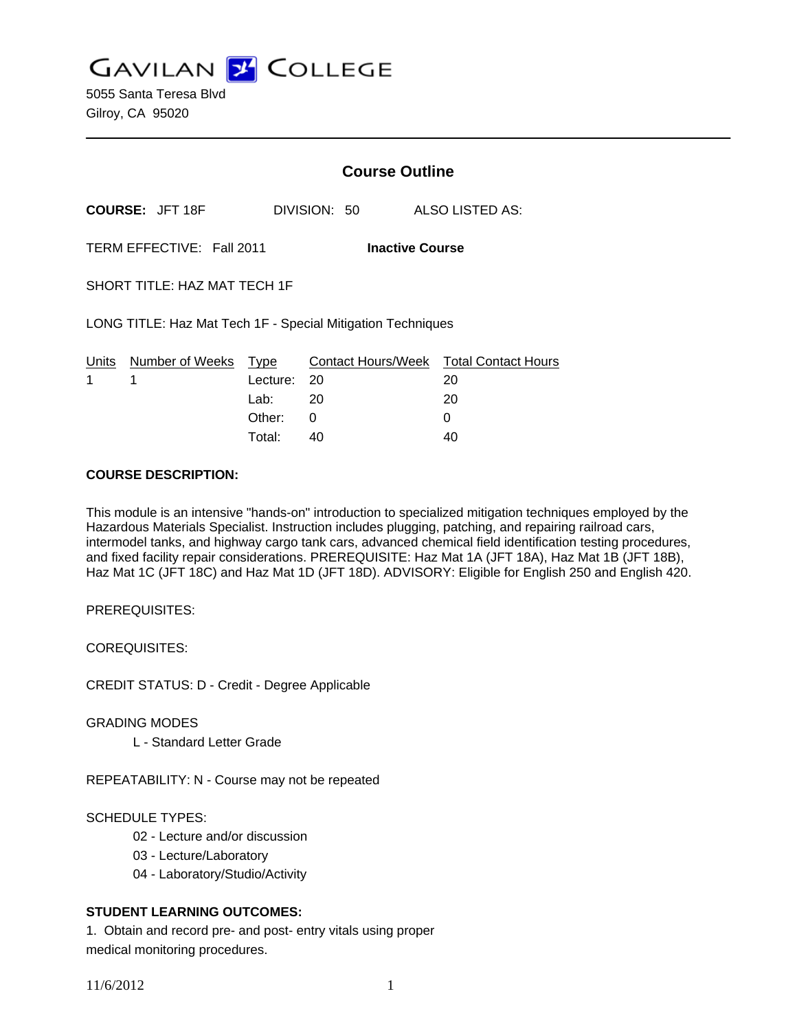**GAVILAN J COLLEGE** 

5055 Santa Teresa Blvd Gilroy, CA 95020

|                                                             |                      | <b>Course Outline</b> |                                  |                                  |
|-------------------------------------------------------------|----------------------|-----------------------|----------------------------------|----------------------------------|
| <b>COURSE: JFT 18F</b>                                      |                      |                       | DIVISION: 50                     | ALSO LISTED AS:                  |
| TERM EFFECTIVE: Fall 2011<br><b>Inactive Course</b>         |                      |                       |                                  |                                  |
| SHORT TITLE: HAZ MAT TECH 1F                                |                      |                       |                                  |                                  |
| LONG TITLE: Haz Mat Tech 1F - Special Mitigation Techniques |                      |                       |                                  |                                  |
| Units<br>1                                                  | Number of Weeks<br>1 | Type<br>Lecture:      | <b>Contact Hours/Week</b><br>-20 | <b>Total Contact Hours</b><br>20 |
|                                                             |                      | Lab: $20$             |                                  | 20                               |
|                                                             |                      | Other:                | 0                                | 0                                |
|                                                             |                      | Total:                | 40                               | 40                               |

#### **COURSE DESCRIPTION:**

This module is an intensive "hands-on" introduction to specialized mitigation techniques employed by the Hazardous Materials Specialist. Instruction includes plugging, patching, and repairing railroad cars, intermodel tanks, and highway cargo tank cars, advanced chemical field identification testing procedures, and fixed facility repair considerations. PREREQUISITE: Haz Mat 1A (JFT 18A), Haz Mat 1B (JFT 18B), Haz Mat 1C (JFT 18C) and Haz Mat 1D (JFT 18D). ADVISORY: Eligible for English 250 and English 420.

PREREQUISITES:

COREQUISITES:

CREDIT STATUS: D - Credit - Degree Applicable

GRADING MODES

L - Standard Letter Grade

REPEATABILITY: N - Course may not be repeated

SCHEDULE TYPES:

- 02 Lecture and/or discussion
- 03 Lecture/Laboratory
- 04 Laboratory/Studio/Activity

## **STUDENT LEARNING OUTCOMES:**

1. Obtain and record pre- and post- entry vitals using proper medical monitoring procedures.

11/6/2012 1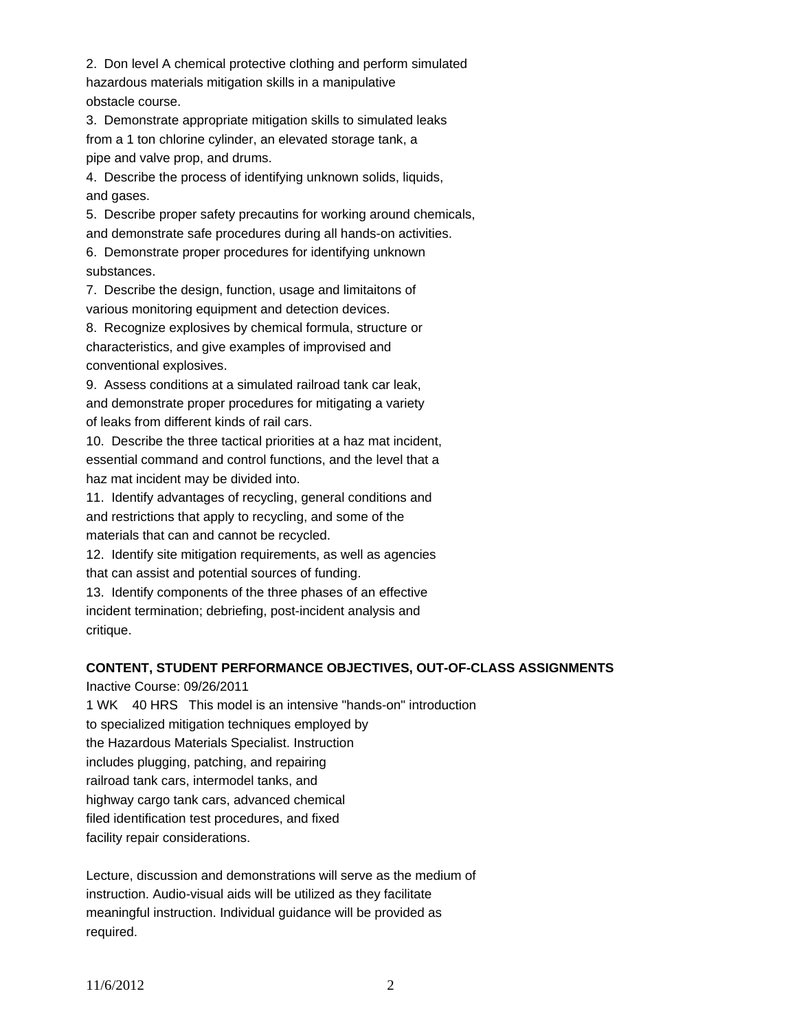2. Don level A chemical protective clothing and perform simulated hazardous materials mitigation skills in a manipulative obstacle course.

3. Demonstrate appropriate mitigation skills to simulated leaks from a 1 ton chlorine cylinder, an elevated storage tank, a pipe and valve prop, and drums.

4. Describe the process of identifying unknown solids, liquids, and gases.

5. Describe proper safety precautins for working around chemicals, and demonstrate safe procedures during all hands-on activities.

6. Demonstrate proper procedures for identifying unknown substances.

7. Describe the design, function, usage and limitaitons of various monitoring equipment and detection devices.

8. Recognize explosives by chemical formula, structure or characteristics, and give examples of improvised and conventional explosives.

9. Assess conditions at a simulated railroad tank car leak, and demonstrate proper procedures for mitigating a variety of leaks from different kinds of rail cars.

10. Describe the three tactical priorities at a haz mat incident, essential command and control functions, and the level that a haz mat incident may be divided into.

11. Identify advantages of recycling, general conditions and and restrictions that apply to recycling, and some of the materials that can and cannot be recycled.

12. Identify site mitigation requirements, as well as agencies that can assist and potential sources of funding.

13. Identify components of the three phases of an effective incident termination; debriefing, post-incident analysis and critique.

# **CONTENT, STUDENT PERFORMANCE OBJECTIVES, OUT-OF-CLASS ASSIGNMENTS**

Inactive Course: 09/26/2011

1 WK 40 HRS This model is an intensive "hands-on" introduction to specialized mitigation techniques employed by the Hazardous Materials Specialist. Instruction includes plugging, patching, and repairing railroad tank cars, intermodel tanks, and highway cargo tank cars, advanced chemical filed identification test procedures, and fixed

facility repair considerations.

Lecture, discussion and demonstrations will serve as the medium of instruction. Audio-visual aids will be utilized as they facilitate meaningful instruction. Individual guidance will be provided as required.